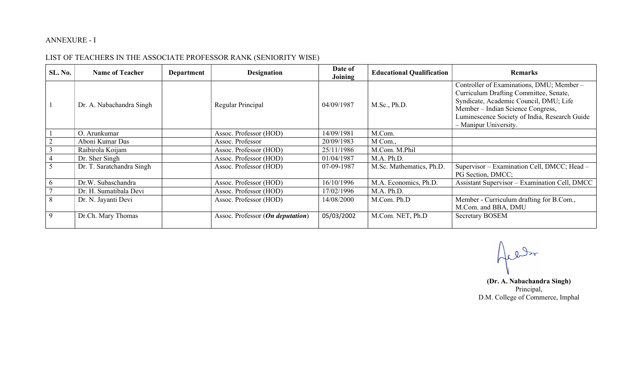## ANNEXURE - I

## LIST OF TEACHERS IN THE ASSOCIATE PROFESSOR RANK (SENIORITY WISE)

| <b>SL. No.</b> | <b>Name of Teacher</b>    | Department | <b>Designation</b>               | Date of<br>Joining | <b>Educational Qualification</b> | <b>Remarks</b>                                                                                                                                                                                                                              |
|----------------|---------------------------|------------|----------------------------------|--------------------|----------------------------------|---------------------------------------------------------------------------------------------------------------------------------------------------------------------------------------------------------------------------------------------|
| $\overline{1}$ | Dr. A. Nabachandra Singh  |            | Regular Principal                | 04/09/1987         | M.Sc., Ph.D.                     | Controller of Examinations, DMU; Member-<br>Curriculum Drafting Committee, Senate,<br>Syndicate, Academic Council, DMU; Life<br>Member – Indian Science Congress,<br>Luminescence Society of India, Research Guide<br>- Manipur University. |
|                | O. Arunkumar              |            | Assoc. Professor (HOD)           | 14/09/1981         | M.Com.                           |                                                                                                                                                                                                                                             |
|                | Aboni Kumar Das           |            | Assoc. Professor                 | 20/09/1983         | M Com.,                          |                                                                                                                                                                                                                                             |
|                | Raibirola Koijam          |            | Assoc. Professor (HOD)           | 25/11/1986         | M.Com. M.Phil                    |                                                                                                                                                                                                                                             |
|                | Dr. Sher Singh            |            | Assoc. Professor (HOD)           | 01/04/1987         | M.A. Ph.D.                       |                                                                                                                                                                                                                                             |
| 5              | Dr. T. Saratchandra Singh |            | Assoc. Professor (HOD)           | 07-09-1987         | M.Sc. Mathematics, Ph.D.         | Supervisor - Examination Cell, DMCC; Head -<br>PG Section, DMCC;                                                                                                                                                                            |
| -6             | Dr.W. Subaschandra        |            | Assoc. Professor (HOD)           | 16/10/1996         | M.A. Economics, Ph.D.            | Assistant Supervisor - Examination Cell, DMCC                                                                                                                                                                                               |
|                | Dr. H. Sumatibala Devi    |            | Assoc. Professor (HOD)           | 17/02/1996         | M.A. Ph.D.                       |                                                                                                                                                                                                                                             |
| 8              | Dr. N. Jayanti Devi       |            | Assoc. Professor (HOD)           | 14/08/2000         | M.Com. Ph.D                      | Member - Curriculum drafting for B.Com.,<br>M.Com. and BBA, DMU                                                                                                                                                                             |
| 9              | Dr.Ch. Mary Thomas        |            | Assoc. Professor (On deputation) | 05/03/2002         | M.Com. NET, Ph.D                 | <b>Secretary BOSEM</b>                                                                                                                                                                                                                      |

Jell

 (Dr. A. Nabachandra Singh) Principal, D.M. College of Commerce, Imphal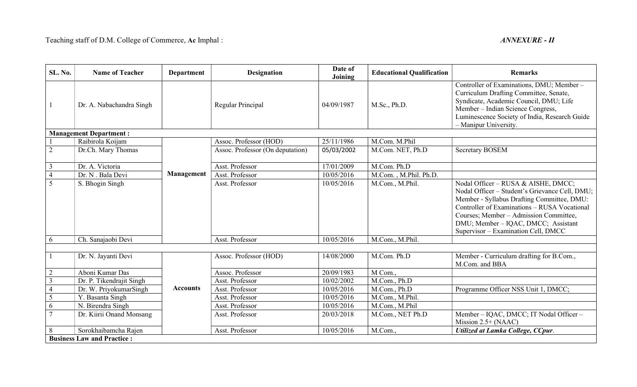| SL. No.                 | <b>Name of Teacher</b>            | <b>Department</b> | <b>Designation</b>               | Date of<br>Joining | <b>Educational Qualification</b> | <b>Remarks</b>                                                                                                                                                                                                                                                                                              |
|-------------------------|-----------------------------------|-------------------|----------------------------------|--------------------|----------------------------------|-------------------------------------------------------------------------------------------------------------------------------------------------------------------------------------------------------------------------------------------------------------------------------------------------------------|
|                         | Dr. A. Nabachandra Singh          |                   | Regular Principal                | 04/09/1987         | M.Sc., Ph.D.                     | Controller of Examinations, DMU; Member -<br>Curriculum Drafting Committee, Senate,<br>Syndicate, Academic Council, DMU; Life<br>Member - Indian Science Congress,<br>Luminescence Society of India, Research Guide<br>- Manipur University.                                                                |
|                         | <b>Management Department:</b>     |                   |                                  |                    |                                  |                                                                                                                                                                                                                                                                                                             |
|                         | Raibirola Koijam                  |                   | Assoc. Professor (HOD)           | 25/11/1986         | M.Com. M.Phil                    |                                                                                                                                                                                                                                                                                                             |
| $\overline{2}$          | Dr.Ch. Mary Thomas                |                   | Assoc. Professor (On deputation) | 05/03/2002         | M.Com. NET, Ph.D                 | <b>Secretary BOSEM</b>                                                                                                                                                                                                                                                                                      |
| 3                       | Dr. A. Victoria                   |                   | Asst. Professor                  | 17/01/2009         | M.Com. Ph.D                      |                                                                                                                                                                                                                                                                                                             |
| $\overline{4}$          | Dr. N. Bala Devi                  | <b>Management</b> | Asst. Professor                  | 10/05/2016         | M.Com., M.Phil. Ph.D.            |                                                                                                                                                                                                                                                                                                             |
| $\overline{5}$          | S. Bhogin Singh                   |                   | Asst. Professor                  | 10/05/2016         | M.Com., M.Phil.                  | Nodal Officer - RUSA & AISHE, DMCC;<br>Nodal Officer - Student's Grievance Cell, DMU;<br>Member - Syllabus Drafting Committee, DMU:<br>Controller of Examinations – RUSA Vocational<br>Courses; Member - Admission Committee,<br>DMU; Member – IQAC, DMCC; Assistant<br>Supervisor - Examination Cell, DMCC |
| 6                       | Ch. Sanajaobi Devi                |                   | Asst. Professor                  | 10/05/2016         | M.Com., M.Phil.                  |                                                                                                                                                                                                                                                                                                             |
|                         | Dr. N. Jayanti Devi               |                   | Assoc. Professor (HOD)           | 14/08/2000         | M.Com. Ph.D                      | Member - Curriculum drafting for B.Com.,<br>M.Com. and BBA                                                                                                                                                                                                                                                  |
| $\overline{2}$          | Aboni Kumar Das                   |                   | Assoc. Professor                 | 20/09/1983         | M Com.,                          |                                                                                                                                                                                                                                                                                                             |
| $\overline{\mathbf{3}}$ | Dr. P. Tikendrajit Singh          | <b>Accounts</b>   | Asst. Professor                  | 10/02/2002         | M.Com., Ph.D                     |                                                                                                                                                                                                                                                                                                             |
| $\overline{4}$          | Dr. W. PriyokumarSingh            |                   | Asst. Professor                  | 10/05/2016         | M.Com., Ph.D                     | Programme Officer NSS Unit 1, DMCC;                                                                                                                                                                                                                                                                         |
| $\overline{5}$          | Y. Basanta Singh                  |                   | Asst. Professor                  | 10/05/2016         | M.Com., M.Phil.                  |                                                                                                                                                                                                                                                                                                             |
| 6                       | N. Birendra Singh                 |                   | Asst. Professor                  | 10/05/2016         | M.Com., M.Phil                   |                                                                                                                                                                                                                                                                                                             |
| $\overline{7}$          | Dr. Kiirii Onand Monsang          |                   | Asst. Professor                  | 20/03/2018         | M.Com., NET Ph.D                 | Member - IQAC, DMCC; IT Nodal Officer -<br>Mission $2.5+$ (NAAC)                                                                                                                                                                                                                                            |
| 8                       | Sorokhaibamcha Rajen              |                   | Asst. Professor                  | 10/05/2016         | M.Com.,                          | Utilized at Lamka College, CCpur.                                                                                                                                                                                                                                                                           |
|                         | <b>Business Law and Practice:</b> |                   |                                  |                    |                                  |                                                                                                                                                                                                                                                                                                             |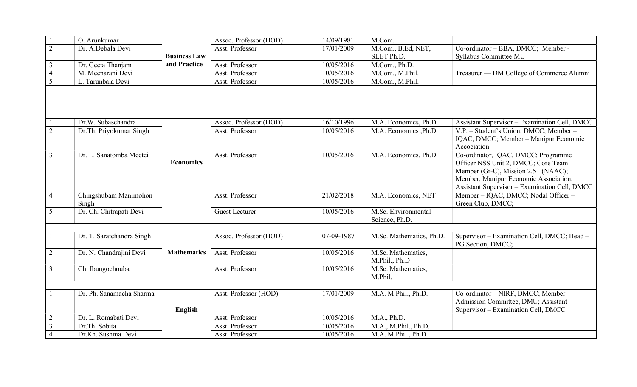|                | O. Arunkumar                   |                     | Assoc. Professor (HOD) | 14/09/1981 | M.Com.                                       |                                                                                                                                                                                                             |
|----------------|--------------------------------|---------------------|------------------------|------------|----------------------------------------------|-------------------------------------------------------------------------------------------------------------------------------------------------------------------------------------------------------------|
| $\overline{2}$ | Dr. A.Debala Devi              |                     | Asst. Professor        | 17/01/2009 | M.Com., B.Ed, NET,                           | Co-ordinator - BBA, DMCC; Member -                                                                                                                                                                          |
|                |                                | <b>Business Law</b> |                        |            | SLET Ph.D.                                   | Syllabus Committee MU                                                                                                                                                                                       |
| $\overline{3}$ | Dr. Geeta Thanjam              | and Practice        | Asst. Professor        | 10/05/2016 | M.Com., Ph.D.                                |                                                                                                                                                                                                             |
| $\overline{4}$ | M. Meenarani Devi              |                     | Asst. Professor        | 10/05/2016 | M.Com., M.Phil.                              | Treasurer — DM College of Commerce Alumni                                                                                                                                                                   |
| 5              | L. Tarunbala Devi              |                     | Asst. Professor        | 10/05/2016 | M.Com., M.Phil.                              |                                                                                                                                                                                                             |
|                |                                |                     |                        |            |                                              |                                                                                                                                                                                                             |
|                | Dr.W. Subaschandra             |                     | Assoc. Professor (HOD) | 16/10/1996 | M.A. Economics, Ph.D.                        | Assistant Supervisor - Examination Cell, DMCC                                                                                                                                                               |
| $\overline{2}$ | Dr.Th. Priyokumar Singh        |                     | Asst. Professor        | 10/05/2016 | M.A. Economics , Ph.D.                       | V.P. - Student's Union, DMCC; Member -<br>IQAC, DMCC; Member - Manipur Economic<br>Accociation                                                                                                              |
| $\overline{3}$ | Dr. L. Sanatomba Meetei        | <b>Economics</b>    | Asst. Professor        | 10/05/2016 | M.A. Economics, Ph.D.                        | Co-ordinator, IQAC, DMCC; Programme<br>Officer NSS Unit 2, DMCC; Core Team<br>Member (Gr-C), Mission 2.5+ (NAAC);<br>Member, Manipur Economic Association;<br>Assistant Supervisor - Examination Cell, DMCC |
| $\overline{4}$ | Chingshubam Manimohon<br>Singh |                     | Asst. Professor        | 21/02/2018 | M.A. Economics, NET                          | Member - IQAC, DMCC; Nodal Officer -<br>Green Club, DMCC;                                                                                                                                                   |
| 5              | Dr. Ch. Chitrapati Devi        |                     | <b>Guest Lecturer</b>  | 10/05/2016 | M.Sc. Environmental<br>Science, Ph.D.        |                                                                                                                                                                                                             |
|                |                                |                     |                        |            |                                              |                                                                                                                                                                                                             |
| $\mathbf{1}$   | Dr. T. Saratchandra Singh      |                     | Assoc. Professor (HOD) | 07-09-1987 | M.Sc. Mathematics, Ph.D.                     | Supervisor - Examination Cell, DMCC; Head -<br>PG Section, DMCC;                                                                                                                                            |
| $\overline{2}$ | Dr. N. Chandrajini Devi        | <b>Mathematics</b>  | Asst. Professor        | 10/05/2016 | M.Sc. Mathematics,<br>M.Phil., Ph.D          |                                                                                                                                                                                                             |
| $\overline{3}$ | Ch. Ibungochouba               |                     | Asst. Professor        | 10/05/2016 | $\overline{M}$ . Sc. Mathematics,<br>M.Phil. |                                                                                                                                                                                                             |
|                |                                |                     |                        |            |                                              |                                                                                                                                                                                                             |
| $\mathbf{1}$   | Dr. Ph. Sanamacha Sharma       | English             | Asst. Professor (HOD)  | 17/01/2009 | M.A. M.Phil., Ph.D.                          | Co-ordinator - NIRF, DMCC; Member -<br>Admission Committee, DMU; Assistant<br>Supervisor - Examination Cell, DMCC                                                                                           |
| $\overline{2}$ | Dr. L. Romabati Devi           |                     | Asst. Professor        | 10/05/2016 | M.A., Ph.D.                                  |                                                                                                                                                                                                             |
| $\overline{3}$ | Dr.Th. Sobita                  |                     | Asst. Professor        | 10/05/2016 | M.A., M.Phil., Ph.D.                         |                                                                                                                                                                                                             |
| $\overline{4}$ | Dr.Kh. Sushma Devi             |                     | Asst. Professor        | 10/05/2016 | M.A. M.Phil., Ph.D                           |                                                                                                                                                                                                             |